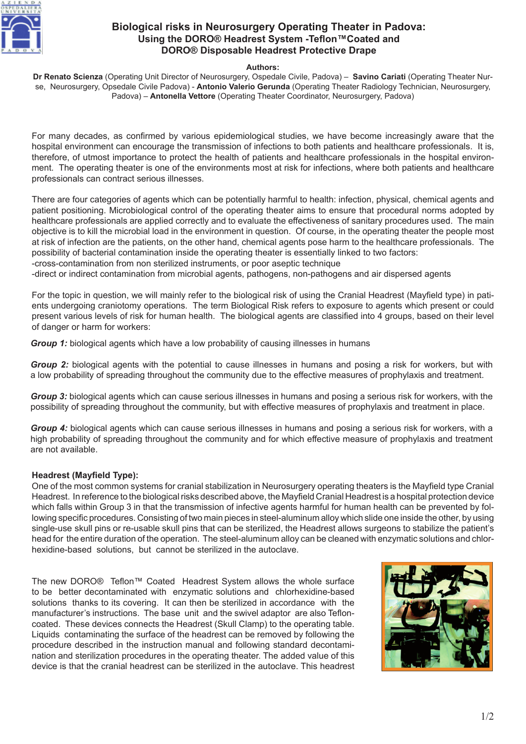

# **Biological risks in Neurosurgery Operating Theater in Padova: Using the DORO® Headrest System -Teflon™Coated and DORO® Disposable Headrest Protective Drape**

# **Authors:**

**Dr Renato Scienza** (Operating Unit Director of Neurosurgery, Ospedale Civile, Padova) – **Savino Cariati** (Operating Theater Nurse, Neurosurgery, Opsedale Civile Padova) - **Antonio Valerio Gerunda** (Operating Theater Radiology Technician, Neurosurgery, Padova) – **Antonella Vettore** (Operating Theater Coordinator, Neurosurgery, Padova)

For many decades, as confirmed by various epidemiological studies, we have become increasingly aware that the hospital environment can encourage the transmission of infections to both patients and healthcare professionals. It is, therefore, of utmost importance to protect the health of patients and healthcare professionals in the hospital environment. The operating theater is one of the environments most at risk for infections, where both patients and healthcare professionals can contract serious illnesses.

There are four categories of agents which can be potentially harmful to health: infection, physical, chemical agents and patient positioning. Microbiological control of the operating theater aims to ensure that procedural norms adopted by healthcare professionals are applied correctly and to evaluate the effectiveness of sanitary procedures used. The main objective is to kill the microbial load in the environment in question. Of course, in the operating theater the people most at risk of infection are the patients, on the other hand, chemical agents pose harm to the healthcare professionals. The possibility of bacterial contamination inside the operating theater is essentially linked to two factors:

-cross-contamination from non sterilized instruments, or poor aseptic technique

-direct or indirect contamination from microbial agents, pathogens, non-pathogens and air dispersed agents

For the topic in question, we will mainly refer to the biological risk of using the Cranial Headrest (Mayfield type) in patients undergoing craniotomy operations. The term Biological Risk refers to exposure to agents which present or could present various levels of risk for human health. The biological agents are classified into 4 groups, based on their level of danger or harm for workers:

*Group 1:* biological agents which have a low probability of causing illnesses in humans

*Group 2:* biological agents with the potential to cause illnesses in humans and posing a risk for workers, but with a low probability of spreading throughout the community due to the effective measures of prophylaxis and treatment.

*Group 3:* biological agents which can cause serious illnesses in humans and posing a serious risk for workers, with the possibility of spreading throughout the community, but with effective measures of prophylaxis and treatment in place.

*Group 4:* biological agents which can cause serious illnesses in humans and posing a serious risk for workers, with a high probability of spreading throughout the community and for which effective measure of prophylaxis and treatment are not available.

### **Headrest (Mayfield Type):**

One of the most common systems for cranial stabilization in Neurosurgery operating theaters is the Mayfield type Cranial Headrest. In reference to the biological risks described above, the Mayfield Cranial Headrest is a hospital protection device which falls within Group 3 in that the transmission of infective agents harmful for human health can be prevented by following specific procedures. Consisting of two main pieces in steel-aluminum alloy which slide one inside the other, by using single-use skull pins or re-usable skull pins that can be sterilized, the Headrest allows surgeons to stabilize the patient's head for the entire duration of the operation. The steel-aluminum alloy can be cleaned with enzymatic solutions and chlorhexidine-based solutions, but cannot be sterilized in the autoclave.

The new DORO® Teflon™ Coated Headrest System allows the whole surface to be better decontaminated with enzymatic solutions and chlorhexidine-based solutions thanks to its covering. It can then be sterilized in accordance with the manufacturer's instructions. The base unit and the swivel adaptor are also Tefloncoated. These devices connects the Headrest (Skull Clamp) to the operating table. Liquids contaminating the surface of the headrest can be removed by following the procedure described in the instruction manual and following standard decontamination and sterilization procedures in the operating theater. The added value of this device is that the cranial headrest can be sterilized in the autoclave. This headrest